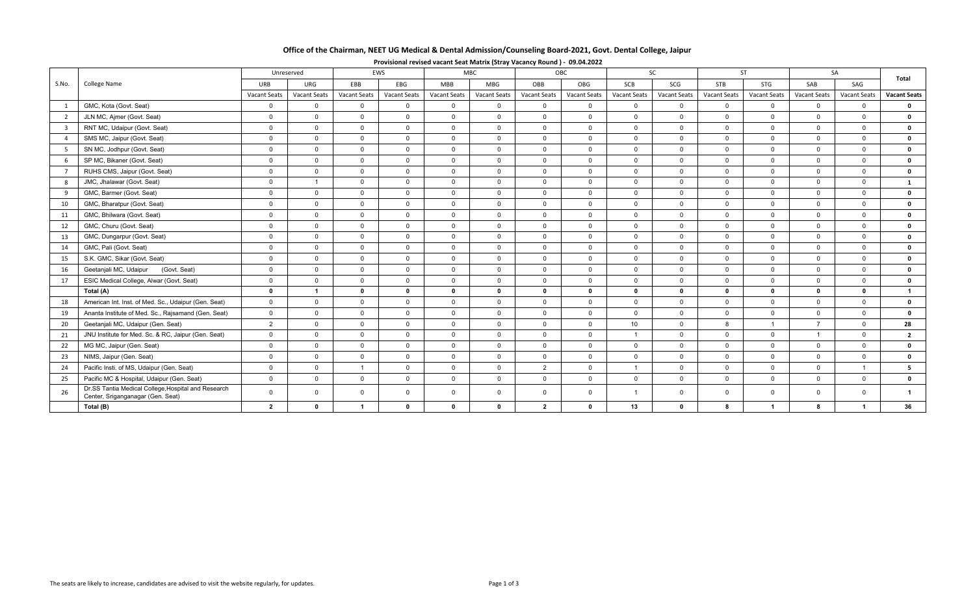| Office of the Chairman, NEET UG Medical & Dental Admission/Counseling Board-2021, Govt. Dental College, Jaipur |
|----------------------------------------------------------------------------------------------------------------|
|----------------------------------------------------------------------------------------------------------------|

|                |                                                                                          |                     | Unreserved              |                | EWS                 |                         | <b>MBC</b>     | OBC            |                     |                 | SC           |                     | <b>ST</b>      |                     | SA             | Total               |
|----------------|------------------------------------------------------------------------------------------|---------------------|-------------------------|----------------|---------------------|-------------------------|----------------|----------------|---------------------|-----------------|--------------|---------------------|----------------|---------------------|----------------|---------------------|
| S.No.          | <b>College Name</b>                                                                      | <b>URB</b>          | URG                     | EBB            | EBG                 | <b>MBB</b>              | MBG            | OBB            | OBG                 | SCB             | SCG          | <b>STB</b>          | STG            | SAB                 | SAG            |                     |
|                |                                                                                          | <b>Vacant Seats</b> | Vacant Seats            | Vacant Seats   | <b>Vacant Seats</b> | <b>Vacant Seats</b>     | Vacant Seats   | Vacant Seats   | <b>Vacant Seats</b> | Vacant Seats    | Vacant Seats | <b>Vacant Seats</b> | Vacant Seats   | <b>Vacant Seats</b> | Vacant Seats   | <b>Vacant Seats</b> |
|                | GMC, Kota (Govt. Seat)                                                                   | $\overline{0}$      | $\Omega$                | $\Omega$       | $\mathbf{0}$        | $\overline{0}$          | $\mathbf{0}$   | $\mathbf{0}$   | $\mathbf{0}$        | $\overline{0}$  | $\Omega$     | $\mathbf{0}$        | $\overline{0}$ | $\Omega$            | $\Omega$       | $\mathbf 0$         |
| $\overline{2}$ | JLN MC, Ajmer (Govt. Seat)                                                               | $\Omega$            | $\Omega$                | $\Omega$       | $\Omega$            | $\Omega$                | $\Omega$       | $\Omega$       | $\overline{0}$      | $\Omega$        | $\Omega$     | $\Omega$            | $\Omega$       | $\Omega$            | $\Omega$       | $\mathbf 0$         |
|                | RNT MC, Udaipur (Govt. Seat)                                                             | $\overline{0}$      | $\Omega$                | $\Omega$       | $\mathbf 0$         | $\overline{0}$          | $\overline{0}$ | $\overline{0}$ | $\overline{0}$      | $\overline{0}$  | $\Omega$     | $\mathbf{0}$        | $\overline{0}$ | $\Omega$            | $\Omega$       | $\mathbf 0$         |
|                | SMS MC, Jaipur (Govt. Seat)                                                              | $\overline{0}$      | $\Omega$                | $\mathbf 0$    | $\mathbf 0$         | $\overline{0}$          | $\mathbf 0$    | $\overline{0}$ | $\overline{0}$      | $\overline{0}$  | $\mathbf 0$  | $\mathbf{0}$        | $\overline{0}$ | $\Omega$            | $\Omega$       | $\mathbf 0$         |
|                | SN MC, Jodhpur (Govt. Seat)                                                              | $\mathsf{O}$        | $\mathbf 0$             | $\mathbf 0$    | $\mathbf 0$         | $\overline{0}$          | $\mathbf 0$    | $\overline{0}$ | $\overline{0}$      | $\overline{0}$  | $\mathbf 0$  | $\mathbf{0}$        | $\mathbf 0$    | $\mathbf 0$         | $\mathbf{0}$   | $\mathbf 0$         |
| 6              | SP MC, Bikaner (Govt. Seat)                                                              | $\overline{0}$      | $\Omega$                | $\Omega$       | $\mathbf{0}$        | $\overline{0}$          | $\mathbf{0}$   | $\mathbf{0}$   | $\mathbf 0$         | $\overline{0}$  | $\Omega$     | $\overline{0}$      | $\overline{0}$ | $\Omega$            | $\mathbf{0}$   | $\mathbf 0$         |
| $\overline{7}$ | RUHS CMS, Jaipur (Govt. Seat)                                                            | $\mathbf 0$         | $\Omega$                | $\Omega$       | $\mathbf{0}$        | $\overline{0}$          | $\mathbf 0$    | $\mathbf{0}$   | $\mathbf 0$         | $\overline{0}$  | $\Omega$     | $\mathbf{0}$        | $\mathsf{O}$   | $\mathbf 0$         | $\mathbf{0}$   | $\mathbf 0$         |
| 8              | JMC, Jhalawar (Govt. Seat)                                                               | $\mathbf 0$         |                         | $\mathbf 0$    | $\mathbf 0$         | $\overline{0}$          | $\mathbf 0$    | $\mathbf 0$    | $\overline{0}$      | $\overline{0}$  | $\mathbf{0}$ | $\mathbf{0}$        | $\mathbf 0$    | $\overline{0}$      | $\mathbf{0}$   | $\mathbf{1}$        |
| 9              | GMC, Barmer (Govt. Seat)                                                                 | $\overline{0}$      | $\Omega$                | $\Omega$       | $\mathbf 0$         | $\mathbf 0$             | $\mathbf 0$    | $\overline{0}$ | $\overline{0}$      | $\overline{0}$  | $\Omega$     | $\mathbf{0}$        | $\mathbf{0}$   | $\mathbf 0$         | $\mathbf{0}$   | $\mathbf 0$         |
| 10             | GMC, Bharatpur (Govt. Seat)                                                              | $\overline{0}$      | $\Omega$                | $\Omega$       | $\mathbf{0}$        | $\overline{0}$          | $\mathbf{0}$   | $\mathbf{0}$   | $\overline{0}$      | $\overline{0}$  | $\Omega$     | $\overline{0}$      | $\overline{0}$ | $\Omega$            | $\mathbf{0}$   | $\mathbf 0$         |
| 11             | GMC, Bhilwara (Govt. Seat)                                                               | $\mathbf 0$         | $\Omega$                | $\Omega$       | $\mathbf{0}$        | $\overline{\mathbf{0}}$ | $\mathbf 0$    | $\mathbf 0$    | $\mathbf 0$         | $\overline{0}$  | $\Omega$     | $\mathbf{0}$        | $\mathsf{O}$   | $\Omega$            | $\mathbf{0}$   | $\mathbf 0$         |
| 12             | GMC, Churu (Govt. Seat)                                                                  | $\mathbf{0}$        | $\Omega$                | $\mathbf 0$    | $\mathbf{0}$        | $\overline{0}$          | $\overline{0}$ | $\overline{0}$ | $\overline{0}$      | $\overline{0}$  | $\mathbf 0$  | $\overline{0}$      | $\mathbf 0$    | $\Omega$            | $\mathbf{0}$   | $\mathbf 0$         |
| 13             | GMC, Dungarpur (Govt. Seat)                                                              | $\overline{0}$      | $\mathbf 0$             | $\mathbf 0$    | $\mathbf 0$         | $\overline{0}$          | $\overline{0}$ | $\overline{0}$ | $\overline{0}$      | $\overline{0}$  | $\Omega$     | $\overline{0}$      | $\mathbf 0$    | $\mathbf 0$         | $\overline{0}$ | $\mathbf 0$         |
| 14             | GMC, Pali (Govt. Seat)                                                                   | $\overline{0}$      | $\Omega$                | $\Omega$       | $\mathbf{0}$        | $\overline{0}$          | $\overline{0}$ | $\overline{0}$ | $\overline{0}$      | $\overline{0}$  | $\Omega$     | $\mathbf{0}$        | $\overline{0}$ | $\Omega$            | $\mathbf{0}$   | $\mathbf 0$         |
| 15             | S.K. GMC, Sikar (Govt. Seat)                                                             | $\mathbf{0}$        | $\Omega$                | $\Omega$       | $\mathbf 0$         | $\overline{0}$          | $\mathbf 0$    | $\overline{0}$ | $\overline{0}$      | $\overline{0}$  | $\Omega$     | $\mathbf{0}$        | $\mathbf 0$    | $\Omega$            | $\mathbf{0}$   | $\mathbf 0$         |
| 16             | Geetanjali MC, Udaipur<br>(Govt. Seat)                                                   | $\overline{0}$      | $\Omega$                | $\mathbf 0$    | $\mathbf 0$         | $\overline{0}$          | $\overline{0}$ | $\mathbf{0}$   | $\overline{0}$      | $\Omega$        | $\mathbf{0}$ | $\mathbf{0}$        | $\mathbf{0}$   | $\Omega$            | $\Omega$       | $\mathbf 0$         |
| 17             | ESIC Medical College, Alwar (Govt. Seat)                                                 | $\overline{0}$      | $\mathbf{0}$            | $\mathbf 0$    | $\mathbf 0$         | $\mathsf 0$             | $\mathbf 0$    | $\mathbf 0$    | $\overline{0}$      | $\overline{0}$  | $\mathbf{0}$ | $\mathbf{0}$        | $\mathbf 0$    | $\Omega$            | $\mathbf{0}$   | $\mathbf 0$         |
|                | Total (A)                                                                                | $\mathbf{0}$        | $\overline{\mathbf{1}}$ | $\mathbf{0}$   | $\mathbf{0}$        | $\mathbf{0}$            | $\mathbf{0}$   | $\mathbf{0}$   | $\mathbf{0}$        | $\mathbf{0}$    | $\mathbf{0}$ | $\mathbf{0}$        | $\Omega$       | $\mathbf{0}$        | $\mathbf{0}$   | $\overline{1}$      |
| 18             | American Int. Inst. of Med. Sc., Udaipur (Gen. Seat)                                     | $\Omega$            | $\Omega$                | $\Omega$       | $\mathbf{0}$        | $\overline{0}$          | $\mathbf 0$    | $\overline{0}$ | $\overline{0}$      | $\overline{0}$  | $\Omega$     | $\mathbf{0}$        | $\mathbf{0}$   | $\Omega$            | $\Omega$       | $\mathbf 0$         |
| 19             | Ananta Institute of Med. Sc., Rajsamand (Gen. Seat)                                      | $\mathbf{0}$        | $\Omega$                | $\Omega$       | $\Omega$            | $\overline{0}$          | $\mathbf 0$    | $\overline{0}$ | $\overline{0}$      | $\Omega$        | $\Omega$     | $\mathbf{0}$        | $\overline{0}$ | $\Omega$            | $\mathbf{0}$   | $\mathbf{0}$        |
| 20             | Geetanjali MC, Udaipur (Gen. Seat)                                                       | 2                   | $\mathbf{0}$            | $\mathbf 0$    | $\mathbf 0$         | $\overline{0}$          | $\mathbf 0$    | $\overline{0}$ | $\overline{0}$      | 10 <sup>1</sup> | $\mathbf{0}$ | 8                   |                | $\overline{7}$      | $\mathbf{0}$   | 28                  |
| 21             | JNU Institute for Med. Sc. & RC, Jaipur (Gen. Seat)                                      | $\Omega$            | $\Omega$                | $\Omega$       | $\mathbf{0}$        | $\overline{0}$          | $\overline{0}$ | $\overline{0}$ | $\overline{0}$      | $\overline{1}$  | $\Omega$     | $\mathbf{0}$        | $\overline{0}$ |                     | $\Omega$       | $\overline{2}$      |
| 22             | MG MC, Jaipur (Gen. Seat)                                                                | $\overline{0}$      | $\Omega$                | $\Omega$       | $\Omega$            | $\overline{0}$          | $\mathbf{0}$   | $\mathbf{0}$   | $\overline{0}$      | $\Omega$        | $\Omega$     | $\Omega$            | $\mathbf 0$    | $\Omega$            | $\Omega$       | $\mathbf 0$         |
| 23             | NIMS, Jaipur (Gen. Seat)                                                                 | $\overline{0}$      | $\Omega$                | $\Omega$       | $\mathbf 0$         | $\overline{0}$          | $\mathbf 0$    | $\overline{0}$ | $\overline{0}$      | $\Omega$        | $\Omega$     | $\mathbf{0}$        | $\overline{0}$ | $\Omega$            | $\mathbf{0}$   | $\mathbf 0$         |
| 24             | Pacific Insti. of MS, Udaipur (Gen. Seat)                                                | $\Omega$            | $\Omega$                | $\overline{1}$ | $\mathbf 0$         | $\overline{0}$          | $\mathbf{0}$   | $\overline{2}$ | $\overline{0}$      | $\overline{1}$  | $\mathbf 0$  | $\mathbf{0}$        | $\mathbf 0$    | $\Omega$            | $\overline{1}$ | 5 <sub>5</sub>      |
| 25             | Pacific MC & Hospital, Udaipur (Gen. Seat)                                               | $\overline{0}$      | $\Omega$                | $\Omega$       | $\Omega$            | $\Omega$                | $\Omega$       | $\Omega$       | $\Omega$            | $\Omega$        | $\Omega$     | $\Omega$            | $\Omega$       | $\Omega$            | $\Omega$       | $\mathbf{0}$        |
| 26             | Dr.SS Tantia Medical College, Hospital and Research<br>Center, Sriganganagar (Gen. Seat) | $\mathbf{0}$        | $\overline{0}$          | $\Omega$       | $\mathbf 0$         | $\mathbf 0$             | $\mathbf{0}$   | $\mathbf{0}$   | $\mathbf 0$         |                 | $\mathbf{0}$ | $\overline{0}$      | $\mathbf{0}$   | $\mathbf 0$         | $\mathbf{0}$   |                     |
|                | Total (B)                                                                                | $\mathbf{2}$        | $\mathbf{0}$            | -1             | $\mathbf 0$         | $\mathbf{0}$            | $\mathbf 0$    | $\overline{2}$ | $\mathbf 0$         | 13              | $\mathbf{0}$ | 8                   | $\mathbf{1}$   | -8                  | -1             | 36                  |

**Provisional revised vacant Seat Matrix (Stray Vacancy Round ) ‐ 09.04.2022**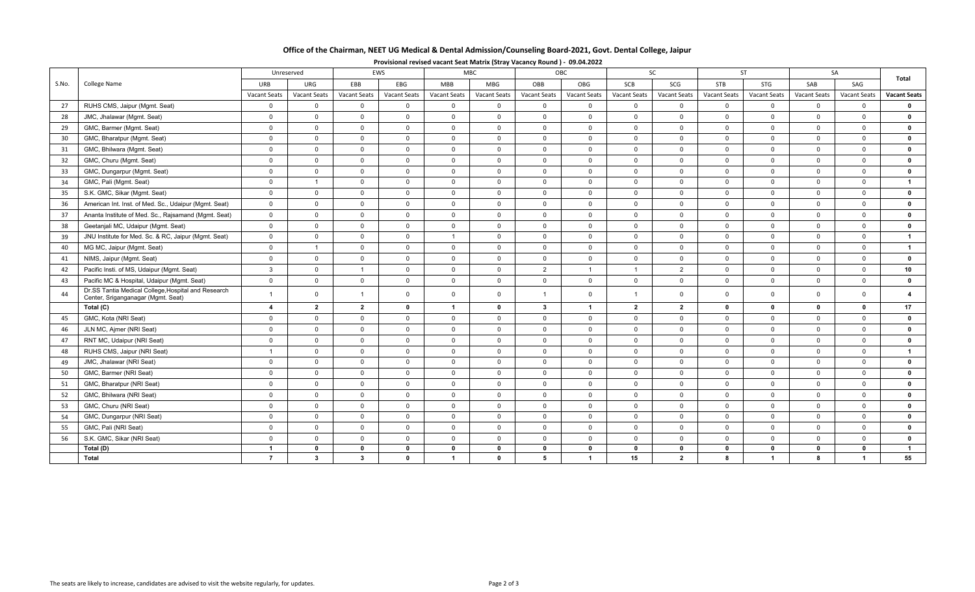|    |                                                                                           |                         | Unreserved     |                | <b>EWS</b>          |                | <b>MBC</b>     |                | <b>OBC</b>     |                     | <b>SC</b>    |              | <b>ST</b>           |                     | SA                  | Total               |
|----|-------------------------------------------------------------------------------------------|-------------------------|----------------|----------------|---------------------|----------------|----------------|----------------|----------------|---------------------|--------------|--------------|---------------------|---------------------|---------------------|---------------------|
| Ó. | <b>College Name</b>                                                                       | URB                     | URG            | EBB            | EBG                 | <b>MBB</b>     | MBG            | OBB            | OBG            | SCB                 | SCG          | <b>STB</b>   | STG                 | SAB                 | SAG                 |                     |
|    |                                                                                           | <b>Vacant Seats</b>     | Vacant Seats   | Vacant Seats   | <b>Vacant Seats</b> | Vacant Seats   | Vacant Seats   | Vacant Seats   | Vacant Seats   | <b>Vacant Seats</b> | Vacant Seats | Vacant Seats | <b>Vacant Seats</b> | <b>Vacant Seats</b> | <b>Vacant Seats</b> | <b>Vacant Seats</b> |
|    | RUHS CMS, Jaipur (Mgmt. Seat)                                                             | $\mathbf 0$             | $\overline{0}$ | $\mathbf 0$    | $\mathbf 0$         | $\overline{0}$ | $\mathbf{0}$   | $\mathbf{0}$   | $\mathbf{0}$   | $\mathbf 0$         | $\mathbf{0}$ | $\mathbf{0}$ | $\mathbf{0}$        | $\overline{0}$      | $\mathbf{0}$        | $\mathbf{0}$        |
|    | JMC, Jhalawar (Mgmt. Seat)                                                                | $\mathbf 0$             | $\Omega$       | $\overline{0}$ | $\mathbf 0$         | $\overline{0}$ | $\mathbf{0}$   | $\Omega$       | $\Omega$       | $\Omega$            | $\Omega$     | $\mathbf 0$  | $\Omega$            | $\Omega$            | $\Omega$            | $\mathbf 0$         |
|    | GMC, Barmer (Mgmt. Seat)                                                                  | $\overline{0}$          | $\overline{0}$ | $\overline{0}$ | $\overline{0}$      | $\overline{0}$ | $\overline{0}$ | $\mathbf 0$    | $\mathbf 0$    | $\mathbf 0$         | $\mathbf 0$  | $\mathbf 0$  | $\mathbf 0$         | $\overline{0}$      | $\overline{0}$      | $\mathbf 0$         |
|    | GMC, Bharatpur (Mgmt. Seat)                                                               | $\overline{0}$          | $\overline{0}$ | $\overline{0}$ | $\overline{0}$      | $\overline{0}$ | $\overline{0}$ | $\overline{0}$ | $\mathbf 0$    | $\Omega$            | $\Omega$     | $\Omega$     | $\mathbf 0$         | $\overline{0}$      | $\mathbf{0}$        | $\mathbf 0$         |
|    | GMC, Bhilwara (Mgmt. Seat)                                                                | $\mathbf 0$             | $\overline{0}$ | $\mathbf 0$    | $\mathbf 0$         | $\mathbf 0$    | $\mathbf 0$    | $\mathbf 0$    | $\mathbf 0$    | $\mathbf 0$         | $\mathbf 0$  | $\mathbf 0$  | $\mathbf 0$         | $\overline{0}$      | $\overline{0}$      | $\mathbf 0$         |
|    | GMC, Churu (Mgmt. Seat)                                                                   | $\overline{0}$          | $\overline{0}$ | $\overline{0}$ | $\mathbf 0$         | $\overline{0}$ | $\overline{0}$ | $\mathbf 0$    | $\mathbf 0$    | $\overline{0}$      | $\mathbf 0$  | $\mathbf 0$  | $\mathbf 0$         | $\overline{0}$      | $\overline{0}$      | $\mathbf{0}$        |
|    | GMC, Dungarpur (Mgmt. Seat)                                                               | $\mathbf{0}$            | $\Omega$       | $\overline{0}$ | $\mathbf 0$         | $\overline{0}$ | $\mathbf{0}$   | $\Omega$       | $\Omega$       | $\Omega$            | $\mathbf{0}$ | $\mathbf{0}$ | $\mathbf{0}$        | $\overline{0}$      | $\mathbf{0}$        | $\mathbf{0}$        |
|    | GMC, Pali (Mgmt. Seat)                                                                    | $\mathbf 0$             |                | $\overline{0}$ | $\overline{0}$      | $\overline{0}$ | $\overline{0}$ | $\mathbf 0$    | $\mathbf 0$    | $\overline{0}$      | $\mathbf 0$  | $\mathbf 0$  | $\mathbf 0$         | $\overline{0}$      | $\overline{0}$      | $\overline{1}$      |
|    | S.K. GMC, Sikar (Mgmt. Seat)                                                              | $\mathbf 0$             | $\overline{0}$ | $\mathbf 0$    | $\mathbf 0$         | $\overline{0}$ | $\overline{0}$ | $\mathbf 0$    | $\mathbf 0$    | $\mathbf 0$         | $\mathbf 0$  | $\mathbf 0$  | $\mathbf 0$         | $\overline{0}$      | $\overline{0}$      | $\mathbf 0$         |
|    | American Int. Inst. of Med. Sc., Udaipur (Mgmt. Seat)                                     | $\overline{0}$          | $\overline{0}$ | $\mathbf 0$    | $\mathbf 0$         | $\overline{0}$ | $\overline{0}$ | $\mathbf 0$    | $\Omega$       | $\Omega$            | $\Omega$     | $\mathbf 0$  | $\mathbf 0$         | $\overline{0}$      | $\mathbf{0}$        | $\mathbf{0}$        |
|    | Ananta Institute of Med. Sc., Rajsamand (Mgmt. Seat)                                      | $\mathbf{0}$            | $\overline{0}$ | $\overline{0}$ | $\mathbf 0$         | $\overline{0}$ | $\mathbf{0}$   | $\mathbf 0$    | $\mathbf 0$    | $\Omega$            | $\Omega$     | $\mathbf{0}$ | $\mathbf{0}$        | $\overline{0}$      | $\Omega$            | $\mathbf 0$         |
|    | Geetanjali MC, Udaipur (Mgmt. Seat)                                                       | $\overline{0}$          | $\overline{0}$ | $\mathbf 0$    | $\mathbf 0$         | $\mathsf{O}$   | $\mathbf 0$    | $\mathbf 0$    | $\mathbf 0$    | $\mathbf 0$         | $\mathbf 0$  | $\mathbf 0$  | $\mathbf 0$         | $\overline{0}$      | $\mathbf{0}$        | $\mathbf 0$         |
|    | JNU Institute for Med. Sc. & RC, Jaipur (Mgmt. Seat)                                      | $\overline{0}$          | $\Omega$       | $\mathbf 0$    | $\mathbf 0$         |                | $\mathbf{0}$   | $\mathbf 0$    | $\Omega$       | $\Omega$            | $\mathbf 0$  | $\mathbf 0$  | $\mathbf 0$         | $\overline{0}$      | $\Omega$            | $\mathbf{1}$        |
|    | MG MC, Jaipur (Mgmt. Seat)                                                                | $\overline{0}$          | $\overline{1}$ | $\overline{0}$ | $\mathbf 0$         | $\overline{0}$ | $\mathbf{0}$   | $\mathbf 0$    | $\mathbf 0$    | $\mathbf 0$         | $\mathbf{0}$ | $\mathbf{0}$ | $\mathbf{0}$        | $\overline{0}$      | $\mathbf{0}$        | $\overline{1}$      |
|    | NIMS, Jaipur (Mgmt. Seat)                                                                 | $\mathbf 0$             | $\overline{0}$ | $\mathbf 0$    | $\mathbf 0$         | $\mathbf 0$    | $\overline{0}$ | $\overline{0}$ | $\mathbf 0$    | $\overline{0}$      | $\mathbf 0$  | $\mathbf 0$  | $\mathbf 0$         | $\overline{0}$      | $\overline{0}$      | $\mathbf 0$         |
|    | Pacific Insti. of MS, Udaipur (Mqmt. Seat)                                                | $\mathbf{3}$            | $\overline{0}$ | $\overline{1}$ | $\overline{0}$      | $\overline{0}$ | $\overline{0}$ | $\overline{2}$ |                | $\overline{1}$      | 2            | $\mathbf 0$  | $\mathbf 0$         | $\overline{0}$      | $\overline{0}$      | 10                  |
|    | Pacific MC & Hospital, Udaipur (Mgmt. Seat)                                               | $\overline{0}$          | $\overline{0}$ | $\overline{0}$ | $\overline{0}$      | $\mathbf 0$    | $\overline{0}$ | $\mathbf 0$    | $\mathbf 0$    | $\mathbf{0}$        | $\mathbf 0$  | $\mathbf 0$  | $\mathbf 0$         | $\overline{0}$      | $\mathbf{0}$        | $\mathbf{0}$        |
|    | Dr.SS Tantia Medical College, Hospital and Research<br>Center, Sriganganagar (Mgmt. Seat) |                         | $\mathbf 0$    | $\overline{1}$ | $\mathbf 0$         | $\mathbf 0$    | $\mathbf{0}$   |                | $\Omega$       | -1                  | $\Omega$     | $\mathbf 0$  | $\mathbf 0$         | $\mathbf 0$         | $\mathbf{0}$        | 4                   |
|    | Total (C)                                                                                 | $\overline{\mathbf{4}}$ | $\overline{2}$ | $\overline{2}$ | $\mathbf 0$         | $\mathbf{1}$   | $\mathbf 0$    | $\mathbf{3}$   | $\overline{1}$ | $\mathbf{2}$        | $\mathbf{2}$ | $\mathbf 0$  | $\mathbf 0$         | $\mathbf 0$         | $\mathbf{0}$        | 17                  |
|    | GMC, Kota (NRI Seat)                                                                      | $\overline{0}$          | $\overline{0}$ | $\overline{0}$ | $\overline{0}$      | $\overline{0}$ | $\overline{0}$ | $\mathbf 0$    | $\mathbf 0$    | $\mathbf 0$         | $\mathbf 0$  | $\mathbf 0$  | $\mathbf 0$         | $\overline{0}$      | $\overline{0}$      | $\mathbf 0$         |
|    | JLN MC, Ajmer (NRI Seat)                                                                  | $\overline{0}$          | $\overline{0}$ | $\overline{0}$ | $\mathbf 0$         | $\overline{0}$ | $\overline{0}$ | $\mathbf 0$    | $\Omega$       | $\Omega$            | $\Omega$     | $\mathbf{0}$ | $\mathbf{0}$        | $\overline{0}$      | $\Omega$            | $\mathbf{0}$        |
|    | RNT MC, Udaipur (NRI Seat)                                                                | $\overline{0}$          | $\overline{0}$ | $\mathbf 0$    | $\mathbf 0$         | $\overline{0}$ | $\overline{0}$ | $\mathbf 0$    | $\mathbf 0$    | $\mathbf 0$         | $\mathbf 0$  | $\mathbf 0$  | $\mathbf 0$         | $\overline{0}$      | $\overline{0}$      | $\mathbf 0$         |
|    | RUHS CMS, Jaipur (NRI Seat)                                                               |                         | $\overline{0}$ | $\mathbf 0$    | $\mathbf 0$         | $\mathsf{O}$   | $\mathbf 0$    | $\mathbf 0$    | $\mathbf 0$    | $\mathbf 0$         | $\mathbf 0$  | $\mathsf{O}$ | $\mathsf{O}$        | $\mathsf{O}$        | $\mathbf 0$         | $\overline{1}$      |
|    | JMC, Jhalawar (NRI Seat)                                                                  | $\overline{0}$          | $\overline{0}$ | $\mathbf 0$    | $\mathbf 0$         | $\overline{0}$ | $\mathbf{0}$   | $\Omega$       | $\Omega$       | $\Omega$            | $\mathbf{0}$ | $\mathbf{0}$ | $\mathbf{0}$        | $\overline{0}$      | $\mathbf{0}$        | $\mathbf{0}$        |
|    | GMC, Barmer (NRI Seat)                                                                    | $\overline{0}$          | $\overline{0}$ | $\overline{0}$ | $\mathbf 0$         | $\overline{0}$ | $\overline{0}$ | $\mathbf 0$    | $\Omega$       | $\Omega$            | $\mathbf 0$  | $\mathbf 0$  | $\mathbf 0$         | $\overline{0}$      | $\Omega$            | $\mathbf 0$         |
|    | GMC, Bharatpur (NRI Seat)                                                                 | $\overline{0}$          | $\overline{0}$ | $\mathbf 0$    | $\mathsf 0$         | $\mathbf 0$    | $\mathbf 0$    | $\mathbf 0$    | $\mathbf 0$    | $\mathbf 0$         | $\mathbf 0$  | $\mathbf 0$  | $\mathbf 0$         | $\overline{0}$      | $\overline{0}$      | $\mathbf 0$         |
|    | GMC, Bhilwara (NRI Seat)                                                                  | $\overline{0}$          | $\overline{0}$ | $\overline{0}$ | $\mathbf 0$         | $\overline{0}$ | $\overline{0}$ | $\mathbf 0$    | $\mathbf 0$    | $\mathbf 0$         | $\mathbf 0$  | $\mathbf 0$  | $\mathbf 0$         | $\overline{0}$      | $\overline{0}$      | $\mathbf 0$         |
|    | GMC, Churu (NRI Seat)                                                                     | $\overline{0}$          | $\overline{0}$ | $\overline{0}$ | $\mathbf 0$         | $\mathsf{O}$   | $\mathbf 0$    | $\mathbf 0$    | $\mathbf 0$    | $\mathbf{0}$        | $\mathbf{0}$ | $\mathbf{0}$ | $\mathbf{0}$        | $\overline{0}$      | $\mathbf{0}$        | $\mathbf{0}$        |
|    | GMC, Dungarpur (NRI Seat)                                                                 | $\overline{0}$          | $\overline{0}$ | $\mathbf 0$    | $\mathbf 0$         | $\overline{0}$ | $\overline{0}$ | $\mathbf 0$    | $\mathbf 0$    | $\mathbf 0$         | $\mathbf 0$  | $\mathbf 0$  | $\mathbf 0$         | $\overline{0}$      | $\overline{0}$      | $\mathbf 0$         |
|    | GMC, Pali (NRI Seat)                                                                      | $\overline{0}$          | $\Omega$       | $\Omega$       | $\overline{0}$      | $\overline{0}$ | $\Omega$       | $\Omega$       | $\Omega$       | $\Omega$            | $\Omega$     | $\Omega$     | $\Omega$            | $\mathbf{0}$        | $\mathbf{0}$        | $\mathbf{0}$        |
|    |                                                                                           |                         |                |                |                     |                |                |                |                |                     |              |              |                     |                     |                     |                     |

 S.K. GMC, Sikar (NRI Seat) 00000000000000 **0 Total (D) 100000000000001**

│ 7 | 3 | 3 0 1 5 1 1 1 1 55

**Provisional revised vacant Seat Matrix (Stray Vacancy Round ) ‐ 09.04.2022**

S.No.

27

28

29

30

31

32

33

34

35

36

37

38

39

40

41

42

43

44

45

46

47

48

49

50

51

52

53

54

55

56

**Total**